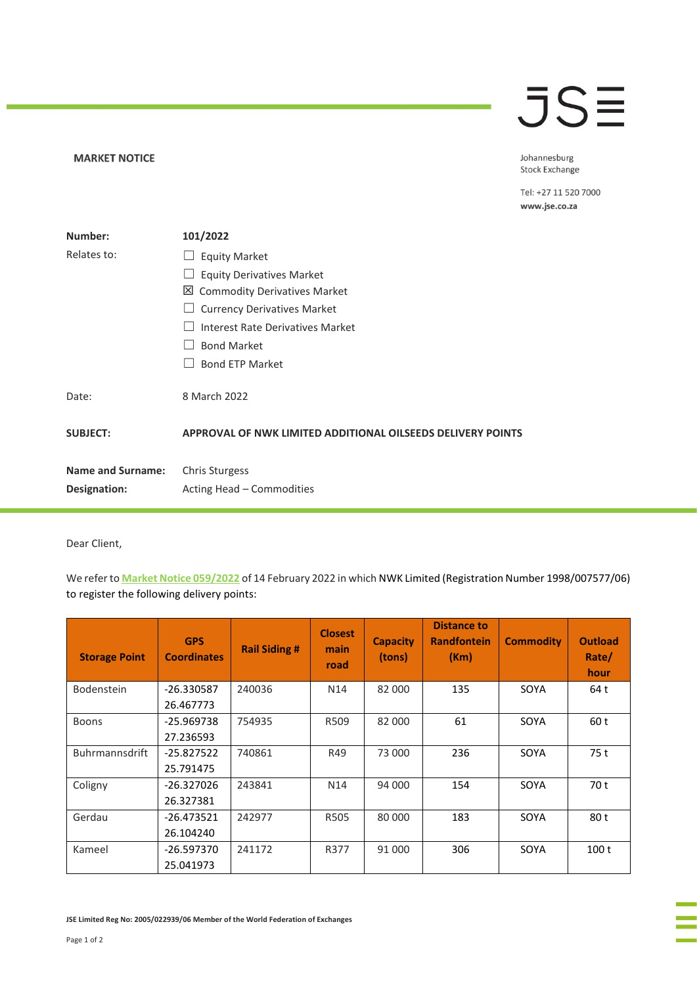## **JSE**

**MARKET NOTICE** 

Johannesburg **Stock Exchange** 

Tel: +27 11 520 7000 www.jse.co.za

| Number:                  | 101/2022                                                    |
|--------------------------|-------------------------------------------------------------|
| Relates to:              | <b>Equity Market</b>                                        |
|                          | <b>Equity Derivatives Market</b>                            |
|                          | 凶 Commodity Derivatives Market                              |
|                          | <b>Currency Derivatives Market</b>                          |
|                          | Interest Rate Derivatives Market                            |
|                          | <b>Bond Market</b>                                          |
|                          | <b>Bond ETP Market</b>                                      |
| Date:                    | 8 March 2022                                                |
| <b>SUBJECT:</b>          | APPROVAL OF NWK LIMITED ADDITIONAL OILSEEDS DELIVERY POINTS |
| <b>Name and Surname:</b> | <b>Chris Sturgess</b>                                       |
| Designation:             | Acting Head - Commodities                                   |

Dear Client,

We refer to **[Market Notice 059/2022](https://clientportal.jse.co.za/Content/JSENoticesandCircularsItems/JSE%20Market%20Notice%2005922%20CDM%20-%20Application%20by%20NWK%20Limited%20for%20Additional%20Oilseeds%20Delivery%20Points.pdf)** of 14 February 2022 in which NWK Limited (Registration Number 1998/007577/06) to register the following delivery points:

| <b>Storage Point</b>  | <b>GPS</b><br><b>Coordinates</b> | <b>Rail Siding #</b> | <b>Closest</b><br>main<br>road | <b>Capacity</b><br>(tons) | <b>Distance to</b><br><b>Randfontein</b><br>(Km) | <b>Commodity</b> | <b>Outload</b><br>Rate/<br>hour |
|-----------------------|----------------------------------|----------------------|--------------------------------|---------------------------|--------------------------------------------------|------------------|---------------------------------|
| <b>Bodenstein</b>     | -26.330587                       | 240036               | N <sub>14</sub>                | 82 000                    | 135                                              | SOYA             | 64 t                            |
|                       | 26.467773                        |                      |                                |                           |                                                  |                  |                                 |
| <b>Boons</b>          | $-25.969738$                     | 754935               | R509                           | 82 000                    | 61                                               | SOYA             | 60 t                            |
|                       | 27.236593                        |                      |                                |                           |                                                  |                  |                                 |
| <b>Buhrmannsdrift</b> | $-25.827522$                     | 740861               | R49                            | 73 000                    | 236                                              | SOYA             | 75 t                            |
|                       | 25.791475                        |                      |                                |                           |                                                  |                  |                                 |
| Coligny               | -26.327026                       | 243841               | N <sub>14</sub>                | 94 000                    | 154                                              | SOYA             | 70 t                            |
|                       | 26.327381                        |                      |                                |                           |                                                  |                  |                                 |
| Gerdau                | $-26.473521$                     | 242977               | <b>R505</b>                    | 80 000                    | 183                                              | SOYA             | 80 t                            |
|                       | 26.104240                        |                      |                                |                           |                                                  |                  |                                 |
| Kameel                | -26.597370                       | 241172               | R377                           | 91 000                    | 306                                              | SOYA             | 100 <sub>t</sub>                |
|                       | 25.041973                        |                      |                                |                           |                                                  |                  |                                 |